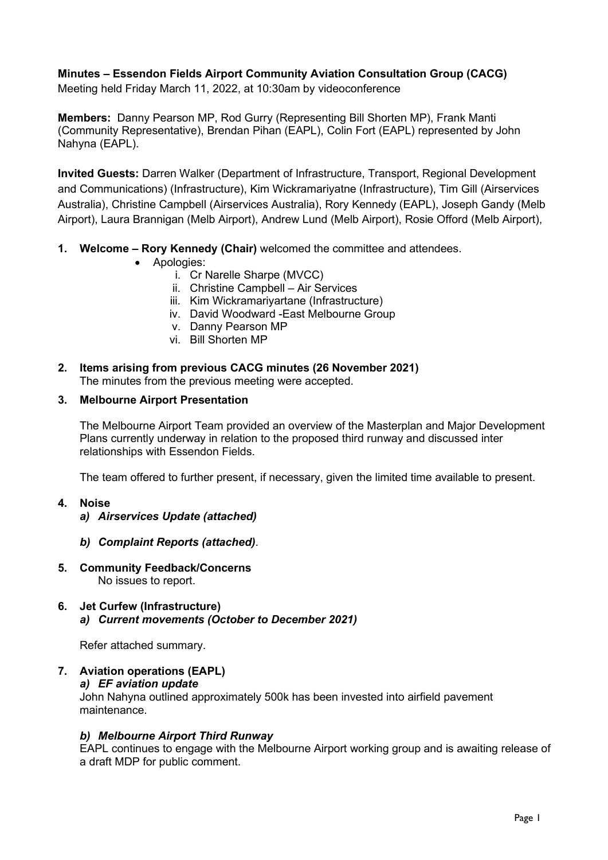# **Minutes – Essendon Fields Airport Community Aviation Consultation Group (CACG)**

Meeting held Friday March 11, 2022, at 10:30am by videoconference

**Members:** Danny Pearson MP, Rod Gurry (Representing Bill Shorten MP), Frank Manti (Community Representative), Brendan Pihan (EAPL), Colin Fort (EAPL) represented by John Nahyna (EAPL).

**Invited Guests:** Darren Walker (Department of Infrastructure, Transport, Regional Development and Communications) (Infrastructure), Kim Wickramariyatne (Infrastructure), Tim Gill (Airservices Australia), Christine Campbell (Airservices Australia), Rory Kennedy (EAPL), Joseph Gandy (Melb Airport), Laura Brannigan (Melb Airport), Andrew Lund (Melb Airport), Rosie Offord (Melb Airport),

- **1. Welcome – Rory Kennedy (Chair)** welcomed the committee and attendees.
	- Apologies:
		- i. Cr Narelle Sharpe (MVCC)
		- ii. Christine Campbell Air Services
		- iii. Kim Wickramariyartane (Infrastructure)
		- iv. David Woodward -East Melbourne Group
		- v. Danny Pearson MP
		- vi. Bill Shorten MP
- **2. Items arising from previous CACG minutes (26 November 2021)** The minutes from the previous meeting were accepted.

#### **3. Melbourne Airport Presentation**

The Melbourne Airport Team provided an overview of the Masterplan and Major Development Plans currently underway in relation to the proposed third runway and discussed inter relationships with Essendon Fields.

The team offered to further present, if necessary, given the limited time available to present.

## **4. Noise**

- *a) Airservices Update (attached)*
- *b) Complaint Reports (attached)*.
- **5. Community Feedback/Concerns** No issues to report.
- **6. Jet Curfew (Infrastructure)** *a) Current movements (October to December 2021)*

Refer attached summary.

# **7. Aviation operations (EAPL)** *a) EF aviation update*

John Nahyna outlined approximately 500k has been invested into airfield pavement maintenance.

## *b) Melbourne Airport Third Runway*

EAPL continues to engage with the Melbourne Airport working group and is awaiting release of a draft MDP for public comment.